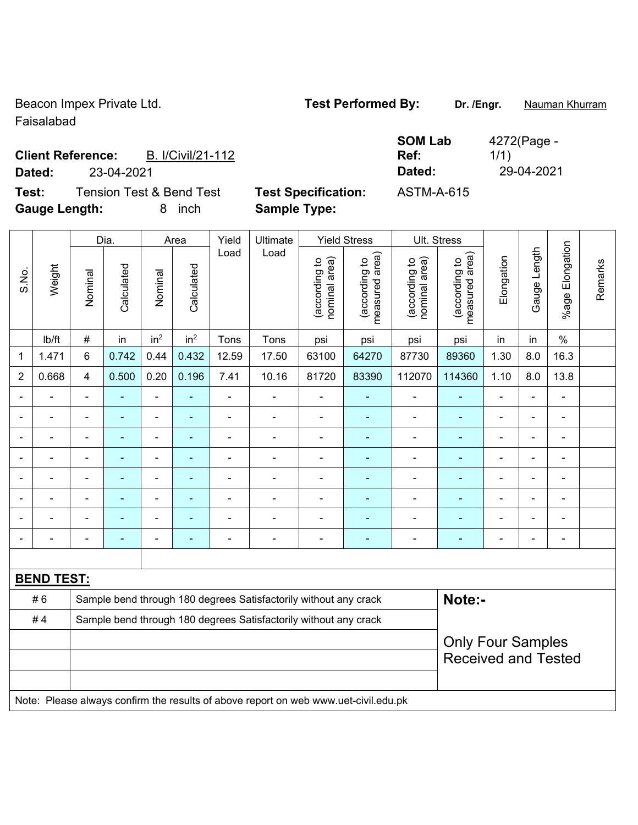Beacon Impex Private Ltd. **Test Performed By:** Dr. /Engr. **Nauman Khurram** Faisalabad

4272(Page -

1/1)

## **Client Reference:** B. I/Civil/21-112 **Dated:** 23-04-2021 **Dated:** 29-04-2021

**Test:** Tension Test & Bend Test **Test Specification:** ASTM-A-615 **Gauge Length:** 8 inch **Sample Type:** 

|                | Weight            |                         | Dia.                     |                 | Area                     | Yield          | Ultimate                                                                            |                                | <b>Yield Stress</b>             |                                | Ult. Stress                     |                                                        |                          |                          |         |
|----------------|-------------------|-------------------------|--------------------------|-----------------|--------------------------|----------------|-------------------------------------------------------------------------------------|--------------------------------|---------------------------------|--------------------------------|---------------------------------|--------------------------------------------------------|--------------------------|--------------------------|---------|
| S.No.          |                   | Nominal                 | Calculated               | Nominal         | Calculated               | Load           | Load                                                                                | (according to<br>nominal area) | measured area)<br>(according to | (according to<br>nominal area) | measured area)<br>(according to | Elongation                                             | Gauge Length             | %age Elongation          | Remarks |
|                | lb/ft             | $\#$                    | in                       | in <sup>2</sup> | in <sup>2</sup>          | Tons           | Tons                                                                                | psi                            | psi                             | psi                            | psi                             | in                                                     | in                       | $\%$                     |         |
| 1              | 1.471             | $\,6$                   | 0.742                    | 0.44            | 0.432                    | 12.59          | 17.50                                                                               | 63100                          | 64270                           | 87730                          | 89360                           | 1.30                                                   | 8.0                      | 16.3                     |         |
| $\overline{2}$ | 0.668             | $\overline{\mathbf{4}}$ | 0.500                    | 0.20            | 0.196                    | 7.41           | 10.16                                                                               | 81720                          | 83390                           | 112070                         | 114360                          | 1.10                                                   | 8.0                      | 13.8                     |         |
|                |                   |                         |                          |                 |                          |                |                                                                                     |                                |                                 |                                |                                 |                                                        |                          |                          |         |
|                |                   |                         | $\blacksquare$           | $\blacksquare$  | ۰                        |                | ÷                                                                                   | $\blacksquare$                 | $\blacksquare$                  | ä,                             | $\blacksquare$                  | $\overline{\phantom{0}}$                               | $\blacksquare$           | $\blacksquare$           |         |
|                |                   | $\blacksquare$          | ÷,                       | ÷               | ä,                       | $\blacksquare$ | Ē,                                                                                  | Ē,                             | $\overline{a}$                  | Ē,                             | ÷                               | ÷                                                      | $\overline{a}$           | $\blacksquare$           |         |
|                |                   | $\blacksquare$          | $\blacksquare$           | $\blacksquare$  | $\blacksquare$           | ÷              | ÷                                                                                   | $\qquad \qquad \blacksquare$   | ÷                               | $\overline{a}$                 | ÷                               | ÷                                                      | -                        | $\overline{\phantom{a}}$ |         |
|                |                   | $\blacksquare$          | ä,                       | $\blacksquare$  | $\blacksquare$           | $\blacksquare$ | $\blacksquare$                                                                      | $\blacksquare$                 | $\blacksquare$                  | ÷,                             | $\blacksquare$                  | ä,                                                     | ÷.                       | L.                       |         |
|                |                   |                         |                          | $\blacksquare$  | $\overline{\phantom{a}}$ | $\blacksquare$ | ÷                                                                                   | L,                             | $\blacksquare$                  |                                | $\blacksquare$                  |                                                        | $\blacksquare$           | $\blacksquare$           |         |
|                |                   |                         |                          |                 |                          |                |                                                                                     |                                |                                 |                                |                                 |                                                        | $\blacksquare$           |                          |         |
|                |                   | $\blacksquare$          | $\overline{\phantom{0}}$ | ÷               | -                        | $\blacksquare$ | ÷                                                                                   | -                              | $\overline{a}$                  | -                              | ٠                               | ÷                                                      | $\overline{\phantom{0}}$ | $\blacksquare$           |         |
|                |                   |                         |                          |                 |                          |                |                                                                                     |                                |                                 |                                |                                 |                                                        |                          |                          |         |
|                | <b>BEND TEST:</b> |                         |                          |                 |                          |                |                                                                                     |                                |                                 |                                |                                 |                                                        |                          |                          |         |
|                | #6                |                         |                          |                 |                          |                | Sample bend through 180 degrees Satisfactorily without any crack                    |                                |                                 |                                | Note:-                          |                                                        |                          |                          |         |
|                | #4                |                         |                          |                 |                          |                | Sample bend through 180 degrees Satisfactorily without any crack                    |                                |                                 |                                |                                 |                                                        |                          |                          |         |
|                |                   |                         |                          |                 |                          |                |                                                                                     |                                |                                 |                                |                                 | <b>Only Four Samples</b><br><b>Received and Tested</b> |                          |                          |         |
|                |                   |                         |                          |                 |                          |                |                                                                                     |                                |                                 |                                |                                 |                                                        |                          |                          |         |
|                |                   |                         |                          |                 |                          |                |                                                                                     |                                |                                 |                                |                                 |                                                        |                          |                          |         |
|                |                   |                         |                          |                 |                          |                | Note: Please always confirm the results of above report on web www.uet-civil.edu.pk |                                |                                 |                                |                                 |                                                        |                          |                          |         |

**SOM Lab Ref:**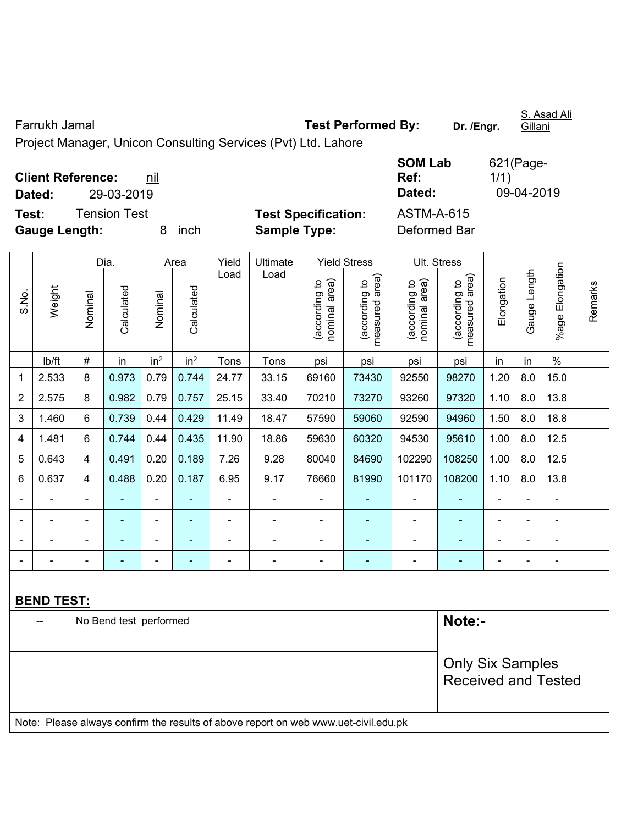| Farrukh Jamal                                                 | Test Performed By:                              | Dr. /Engr.<br>Gillani |
|---------------------------------------------------------------|-------------------------------------------------|-----------------------|
| Project Manager, Unicon Consulting Services (Pvt) Ltd. Lahore |                                                 |                       |
|                                                               | <b>SOM Lab</b>                                  | $621$ (Page-          |
| <b>Client Reference:</b><br>nil                               | Ref:                                            | 1/1)                  |
| 29-03-2019<br>Dated:                                          | Dated:                                          | 09-04-2019            |
| <b>Tension Test</b><br>Test:                                  | <b>Test Specification:</b><br><b>ASTM-A-615</b> |                       |
| <b>Gauge Length:</b><br><b>Sample Type:</b><br>inch           | Deformed Bar                                    |                       |

|                |                   |                         | Dia.                   |                 | Area                     | Yield          | Ultimate                                                                            |                                | <b>Yield Stress</b>             |                                | Ult. Stress                     |                |                                                       |                 |         |
|----------------|-------------------|-------------------------|------------------------|-----------------|--------------------------|----------------|-------------------------------------------------------------------------------------|--------------------------------|---------------------------------|--------------------------------|---------------------------------|----------------|-------------------------------------------------------|-----------------|---------|
| S.No.          | Weight            | Nominal                 | Calculated             | Nominal         | Calculated               | Load           | Load                                                                                | (according to<br>nominal area) | (according to<br>measured area) | nominal area)<br>(according to | measured area)<br>(according to | Elongation     | Gauge Length                                          | %age Elongation | Remarks |
|                | Ib/ft             | $\#$                    | in                     | in <sup>2</sup> | in <sup>2</sup>          | Tons           | Tons                                                                                | psi                            | psi                             | psi                            | psi                             | in             | in                                                    | $\%$            |         |
| $\mathbf 1$    | 2.533             | 8                       | 0.973                  | 0.79            | 0.744                    | 24.77          | 33.15                                                                               | 69160                          | 73430                           | 92550                          | 98270                           | 1.20           | 8.0                                                   | 15.0            |         |
| $\overline{2}$ | 2.575             | 8                       | 0.982                  | 0.79            | 0.757                    | 25.15          | 33.40                                                                               | 70210                          | 73270                           | 93260                          | 97320                           | 1.10           | 8.0                                                   | 13.8            |         |
| 3              | 1.460             | 6                       | 0.739                  | 0.44            | 0.429                    | 11.49          | 18.47                                                                               | 57590                          | 59060                           | 92590                          | 94960                           | 1.50           | 8.0                                                   | 18.8            |         |
| 4              | 1.481             | 6                       | 0.744                  | 0.44            | 0.435                    | 11.90          | 18.86                                                                               | 59630                          | 60320                           | 94530                          | 95610                           | 1.00           | 8.0                                                   | 12.5            |         |
| 5              | 0.643             | $\overline{4}$          | 0.491                  | 0.20            | 0.189                    | 7.26           | 9.28                                                                                | 80040                          | 84690                           | 102290                         | 108250                          | 1.00           | 8.0                                                   | 12.5            |         |
| $6\phantom{1}$ | 0.637             | $\overline{\mathbf{4}}$ | 0.488                  | 0.20            | 0.187                    | 6.95           | 9.17                                                                                | 76660                          | 81990                           | 101170                         | 108200                          | 1.10           | 8.0                                                   | 13.8            |         |
|                |                   | $\blacksquare$          |                        | ä,              |                          | ä,             | ÷.                                                                                  |                                |                                 | ä,                             | $\blacksquare$                  |                |                                                       | ä,              |         |
|                |                   |                         | $\blacksquare$         | $\blacksquare$  |                          |                | $\blacksquare$                                                                      |                                |                                 |                                | $\blacksquare$                  |                | ÷                                                     | $\blacksquare$  |         |
|                |                   |                         | $\blacksquare$         | $\overline{a}$  |                          | $\overline{a}$ | -                                                                                   | $\blacksquare$                 |                                 | ۰                              | $\overline{a}$                  | -              | $\overline{a}$                                        | $\blacksquare$  |         |
|                |                   |                         | $\blacksquare$         | ÷,              | $\overline{\phantom{a}}$ | ÷              | $\frac{1}{2}$                                                                       | $\blacksquare$                 | ٠                               | $\blacksquare$                 | $\blacksquare$                  | $\blacksquare$ | ÷,                                                    | $\blacksquare$  |         |
|                |                   |                         |                        |                 |                          |                |                                                                                     |                                |                                 |                                |                                 |                |                                                       |                 |         |
|                | <b>BEND TEST:</b> |                         |                        |                 |                          |                |                                                                                     |                                |                                 |                                |                                 |                |                                                       |                 |         |
|                |                   |                         | No Bend test performed |                 |                          |                |                                                                                     |                                |                                 |                                | Note:-                          |                |                                                       |                 |         |
|                |                   |                         |                        |                 |                          |                |                                                                                     |                                |                                 |                                |                                 |                |                                                       |                 |         |
|                |                   |                         |                        |                 |                          |                |                                                                                     |                                |                                 |                                |                                 |                | <b>Only Six Samples</b><br><b>Received and Tested</b> |                 |         |
|                |                   |                         |                        |                 |                          |                |                                                                                     |                                |                                 |                                |                                 |                |                                                       |                 |         |
|                |                   |                         |                        |                 |                          |                | Note: Please always confirm the results of above report on web www.uet-civil.edu.pk |                                |                                 |                                |                                 |                |                                                       |                 |         |

S. Asad Ali

Farrukh Jamal **Test Performed By: Dr. /Engr.**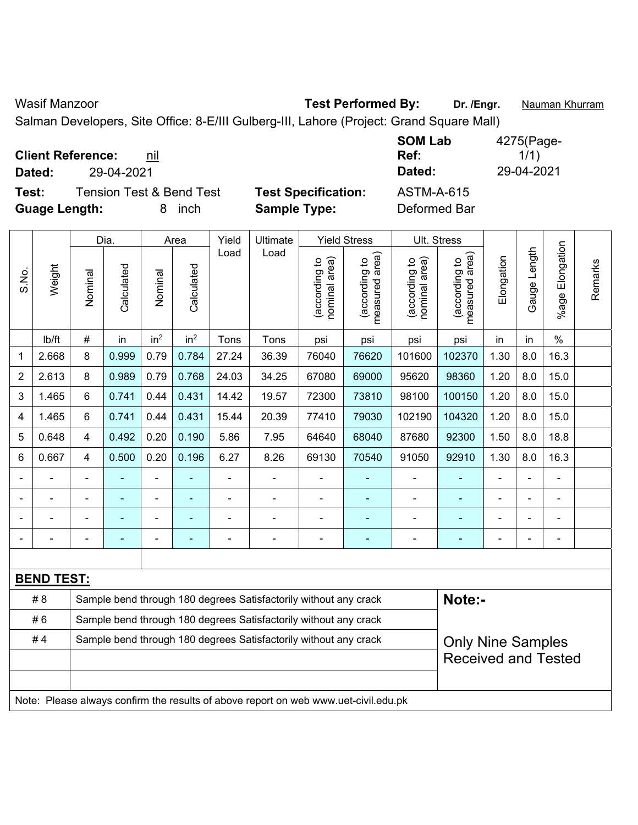Wasif Manzoor **Test Performed By:** Dr. /Engr. **Nauman Khurram** 

Salman Developers, Site Office: 8-E/III Gulberg-III, Lahore (Project: Grand Square Mall)

|  | <b>Client Reference:</b> | nil |
|--|--------------------------|-----|
|--|--------------------------|-----|

**Test:** Tension Test & Bend Test **Test Specification:** ASTM-A-615 **Guage Length:** 8 inch **Sample Type:** Deformed Bar

**SOM Lab Ref:**  4275(Page- $1/1)$ **Dated:** 29-04-2021 **Dated:** 29-04-2021

|                                                                        |                   |                | Dia.       |                 | Area            | Yield | Ultimate                                                                            |                                | <b>Yield Stress</b>                |                                | Ult. Stress                     |            |                                                        |                    |         |  |
|------------------------------------------------------------------------|-------------------|----------------|------------|-----------------|-----------------|-------|-------------------------------------------------------------------------------------|--------------------------------|------------------------------------|--------------------------------|---------------------------------|------------|--------------------------------------------------------|--------------------|---------|--|
| S.No.                                                                  | Weight            | Nominal        | Calculated | Nominal         | Calculated      | Load  | Load                                                                                | nominal area)<br>(according to | area)<br>(according to<br>measured | nominal area)<br>(according to | measured area)<br>(according to | Elongation | Gauge Length                                           | Elongation<br>%age | Remarks |  |
|                                                                        | Ib/ft             | $\#$           | in         | in <sup>2</sup> | in <sup>2</sup> | Tons  | Tons                                                                                | psi                            | psi                                | psi                            | psi                             | in         | in                                                     | $\%$               |         |  |
| 1                                                                      | 2.668             | 8              | 0.999      | 0.79            | 0.784           | 27.24 | 36.39                                                                               | 76040                          | 76620                              | 101600                         | 102370                          | 1.30       | 8.0                                                    | 16.3               |         |  |
| $\overline{2}$                                                         | 2.613             | 8              | 0.989      | 0.79            | 0.768           | 24.03 | 34.25                                                                               | 67080                          | 69000                              | 95620                          | 98360                           | 1.20       | 8.0                                                    | 15.0               |         |  |
| 3                                                                      | 1.465             | 6              | 0.741      | 0.44            | 0.431           | 14.42 | 19.57                                                                               | 72300                          | 73810                              | 98100                          | 100150                          | 1.20       | 8.0                                                    | 15.0               |         |  |
| 4                                                                      | 1.465             | 6              | 0.741      | 0.44            | 0.431           | 15.44 | 20.39                                                                               | 77410                          | 79030                              | 102190                         | 104320                          | 1.20       | 8.0                                                    | 15.0               |         |  |
| 5                                                                      | 0.648             | $\overline{4}$ | 0.492      | 0.20            | 0.190           | 5.86  | 7.95                                                                                | 64640                          | 68040                              | 87680                          | 92300                           | 1.50       | 8.0                                                    | 18.8               |         |  |
| 6                                                                      | 0.667             | $\overline{4}$ | 0.500      | 0.20            | 0.196           | 6.27  | 8.26                                                                                | 69130                          | 70540                              | 91050                          | 92910                           | 1.30       | 8.0                                                    | 16.3               |         |  |
|                                                                        |                   |                |            | -               |                 |       |                                                                                     |                                |                                    | $\blacksquare$                 |                                 |            |                                                        | L,                 |         |  |
|                                                                        |                   |                |            |                 |                 |       |                                                                                     |                                |                                    |                                |                                 |            |                                                        |                    |         |  |
|                                                                        |                   |                |            | ä,              |                 |       |                                                                                     |                                |                                    | Ē,                             |                                 |            |                                                        |                    |         |  |
|                                                                        |                   |                |            | -               |                 |       | $\overline{\phantom{0}}$                                                            | ä,                             |                                    | ۰                              | ۳                               |            |                                                        | ä,                 |         |  |
|                                                                        |                   |                |            |                 |                 |       |                                                                                     |                                |                                    |                                |                                 |            |                                                        |                    |         |  |
|                                                                        | <b>BEND TEST:</b> |                |            |                 |                 |       |                                                                                     |                                |                                    |                                |                                 |            |                                                        |                    |         |  |
|                                                                        | #8                |                |            |                 |                 |       | Sample bend through 180 degrees Satisfactorily without any crack                    |                                |                                    |                                | Note:-                          |            |                                                        |                    |         |  |
|                                                                        | #6                |                |            |                 |                 |       | Sample bend through 180 degrees Satisfactorily without any crack                    |                                |                                    |                                |                                 |            |                                                        |                    |         |  |
| #4<br>Sample bend through 180 degrees Satisfactorily without any crack |                   |                |            |                 |                 |       |                                                                                     |                                |                                    |                                |                                 |            | <b>Only Nine Samples</b><br><b>Received and Tested</b> |                    |         |  |
|                                                                        |                   |                |            |                 |                 |       |                                                                                     |                                |                                    |                                |                                 |            |                                                        |                    |         |  |
|                                                                        |                   |                |            |                 |                 |       |                                                                                     |                                |                                    |                                |                                 |            |                                                        |                    |         |  |
|                                                                        |                   |                |            |                 |                 |       | Note: Please always confirm the results of above report on web www.uet-civil.edu.pk |                                |                                    |                                |                                 |            |                                                        |                    |         |  |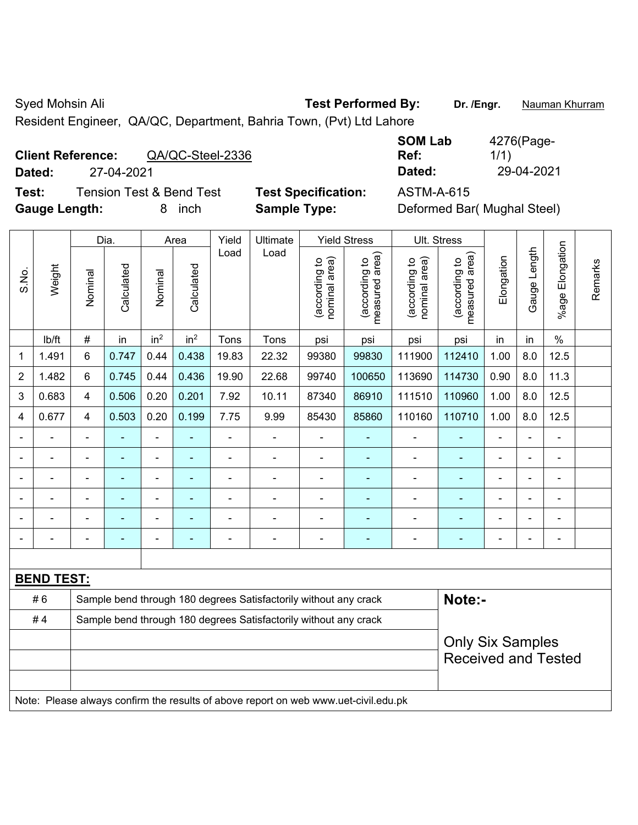Syed Mohsin Ali **Test Performed By:** Dr. /Engr. **Nauman Khurram** 

Resident Engineer, QA/QC, Department, Bahria Town, (Pvt) Ltd Lahore

# **Client Reference:** QA/QC-Steel-2336

**Test:** Tension Test & Bend Test **Test Specification:** ASTM-A-615 Gauge Length: **8** inch **Sample Type:** 

**SOM Lab Ref:**  4276(Page-1/1) **Dated:** 27-04-2021 **Dated:** 29-04-2021

| Deformed Bar( Mughal Steel) |  |  |
|-----------------------------|--|--|
|-----------------------------|--|--|

|                |                   | Dia.           |                | Area            |                 | Yield          | Ultimate                                                                            |                                | <b>Yield Stress</b>                         | Ult. Stress                    |                                 |                |                                                                                     |                |         |  |
|----------------|-------------------|----------------|----------------|-----------------|-----------------|----------------|-------------------------------------------------------------------------------------|--------------------------------|---------------------------------------------|--------------------------------|---------------------------------|----------------|-------------------------------------------------------------------------------------|----------------|---------|--|
| S.No.          | Weight            | Nominal        | Calculated     | Nominal         | Calculated      | Load           | Load                                                                                | nominal area)<br>(according to | (according to<br>measured area)<br>measured | nominal area)<br>(according to | measured area)<br>(according to | Elongation     |                                                                                     | $%$ age I      | Remarks |  |
|                | lb/ft             | $\#$           | in             | in <sup>2</sup> | in <sup>2</sup> | Tons           | Tons                                                                                | psi                            | psi                                         | psi                            | psi                             | in             | in                                                                                  | $\%$           |         |  |
| 1              | 1.491             | 6              | 0.747          | 0.44            | 0.438           | 19.83          | 22.32                                                                               | 99380                          | 99830                                       | 111900                         | 112410                          | 1.00           | 8.0                                                                                 | 12.5           |         |  |
| $\overline{2}$ | 1.482             | 6              | 0.745          | 0.44            | 0.436           | 19.90          | 22.68                                                                               | 99740                          | 100650                                      | 113690                         | 114730                          | 0.90           | 8.0                                                                                 | 11.3           |         |  |
| 3              | 0.683             | $\overline{4}$ | 0.506          | 0.20            | 0.201           | 7.92           | 10.11                                                                               | 87340                          | 86910                                       | 111510                         | 110960                          | 1.00           | 8.0                                                                                 | 12.5           |         |  |
| 4              | 0.677             | $\overline{4}$ | 0.503          | 0.20            | 0.199           | 7.75           | 9.99                                                                                | 85430                          | 85860                                       | 110160                         | 110710                          | 1.00           | 8.0                                                                                 | 12.5           |         |  |
|                | ÷.                | $\blacksquare$ | $\blacksquare$ | $\blacksquare$  | $\blacksquare$  | $\blacksquare$ | ä,                                                                                  | $\blacksquare$                 | $\blacksquare$                              | $\blacksquare$                 | ä,                              | ä,             | $\blacksquare$                                                                      | ÷,             |         |  |
|                |                   | $\blacksquare$ | $\blacksquare$ | $\blacksquare$  | $\blacksquare$  | ä,             | ÷                                                                                   | ä,                             | ä,                                          | $\blacksquare$                 | ä,                              |                | ä,                                                                                  | $\blacksquare$ |         |  |
|                |                   |                | ٠              | $\blacksquare$  | $\blacksquare$  |                | $\blacksquare$                                                                      | $\blacksquare$                 | ۰                                           | $\blacksquare$                 | $\blacksquare$                  |                |                                                                                     |                |         |  |
|                |                   |                |                | ÷               |                 |                |                                                                                     |                                |                                             |                                |                                 |                |                                                                                     |                |         |  |
|                | $\overline{a}$    | $\blacksquare$ |                | $\overline{a}$  |                 |                | $\blacksquare$                                                                      | $\overline{a}$                 | ۰                                           | $\blacksquare$                 | $\overline{\phantom{0}}$        |                | $\blacksquare$                                                                      | $\blacksquare$ |         |  |
| $\blacksquare$ |                   | $\blacksquare$ | $\blacksquare$ | $\blacksquare$  | $\blacksquare$  | $\blacksquare$ | $\blacksquare$                                                                      | $\blacksquare$                 | ÷                                           | $\blacksquare$                 | ٠                               | $\blacksquare$ | $\blacksquare$                                                                      | $\blacksquare$ |         |  |
|                |                   |                |                |                 |                 |                |                                                                                     |                                |                                             |                                |                                 |                |                                                                                     |                |         |  |
|                | <b>BEND TEST:</b> |                |                |                 |                 |                |                                                                                     |                                |                                             |                                |                                 |                |                                                                                     |                |         |  |
|                | #6                |                |                |                 |                 |                | Sample bend through 180 degrees Satisfactorily without any crack                    |                                |                                             |                                | Note:-                          |                |                                                                                     |                |         |  |
|                | #4                |                |                |                 |                 |                | Sample bend through 180 degrees Satisfactorily without any crack                    |                                |                                             |                                |                                 |                |                                                                                     |                |         |  |
|                |                   |                |                |                 |                 |                |                                                                                     |                                |                                             |                                |                                 |                | Elongation<br>Gauge Length<br><b>Only Six Samples</b><br><b>Received and Tested</b> |                |         |  |
|                |                   |                |                |                 |                 |                | Note: Please always confirm the results of above report on web www.uet-civil.edu.pk |                                |                                             |                                |                                 |                |                                                                                     |                |         |  |